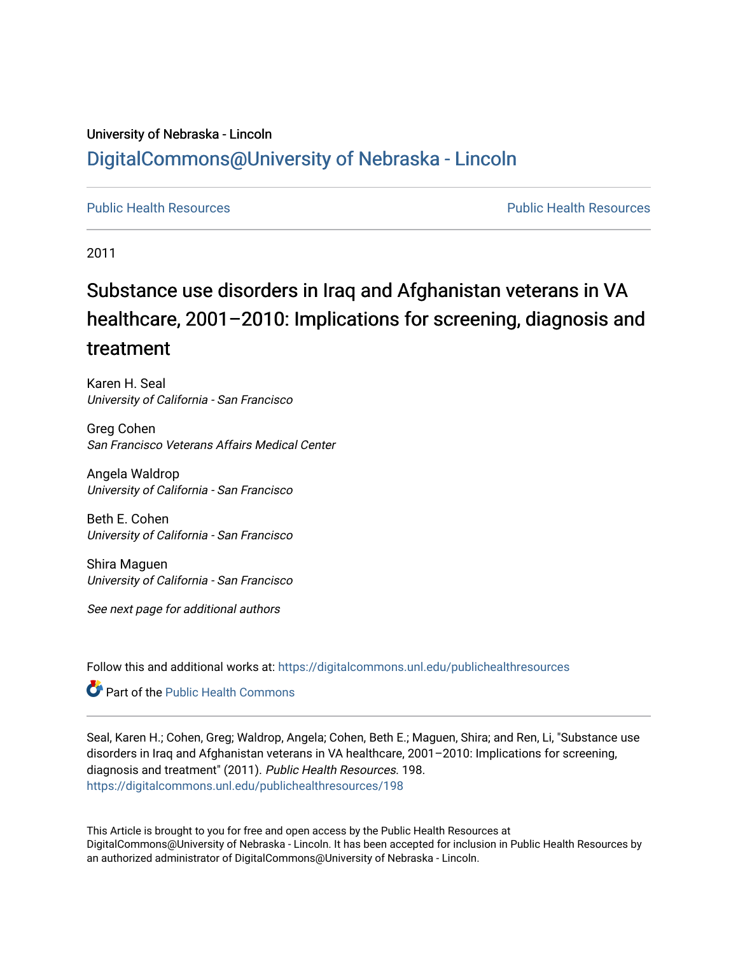# University of Nebraska - Lincoln [DigitalCommons@University of Nebraska - Lincoln](https://digitalcommons.unl.edu/)

[Public Health Resources](https://digitalcommons.unl.edu/publichealthresources) [Public Health Resources](https://digitalcommons.unl.edu/publichealth) 

2011

# Substance use disorders in Iraq and Afghanistan veterans in VA healthcare, 2001–2010: Implications for screening, diagnosis and treatment

Karen H. Seal University of California - San Francisco

Greg Cohen San Francisco Veterans Affairs Medical Center

Angela Waldrop University of California - San Francisco

Beth E. Cohen University of California - San Francisco

Shira Maguen University of California - San Francisco

See next page for additional authors

Follow this and additional works at: [https://digitalcommons.unl.edu/publichealthresources](https://digitalcommons.unl.edu/publichealthresources?utm_source=digitalcommons.unl.edu%2Fpublichealthresources%2F198&utm_medium=PDF&utm_campaign=PDFCoverPages) 

**Part of the Public Health Commons** 

Seal, Karen H.; Cohen, Greg; Waldrop, Angela; Cohen, Beth E.; Maguen, Shira; and Ren, Li, "Substance use disorders in Iraq and Afghanistan veterans in VA healthcare, 2001–2010: Implications for screening, diagnosis and treatment" (2011). Public Health Resources. 198. [https://digitalcommons.unl.edu/publichealthresources/198](https://digitalcommons.unl.edu/publichealthresources/198?utm_source=digitalcommons.unl.edu%2Fpublichealthresources%2F198&utm_medium=PDF&utm_campaign=PDFCoverPages) 

This Article is brought to you for free and open access by the Public Health Resources at DigitalCommons@University of Nebraska - Lincoln. It has been accepted for inclusion in Public Health Resources by an authorized administrator of DigitalCommons@University of Nebraska - Lincoln.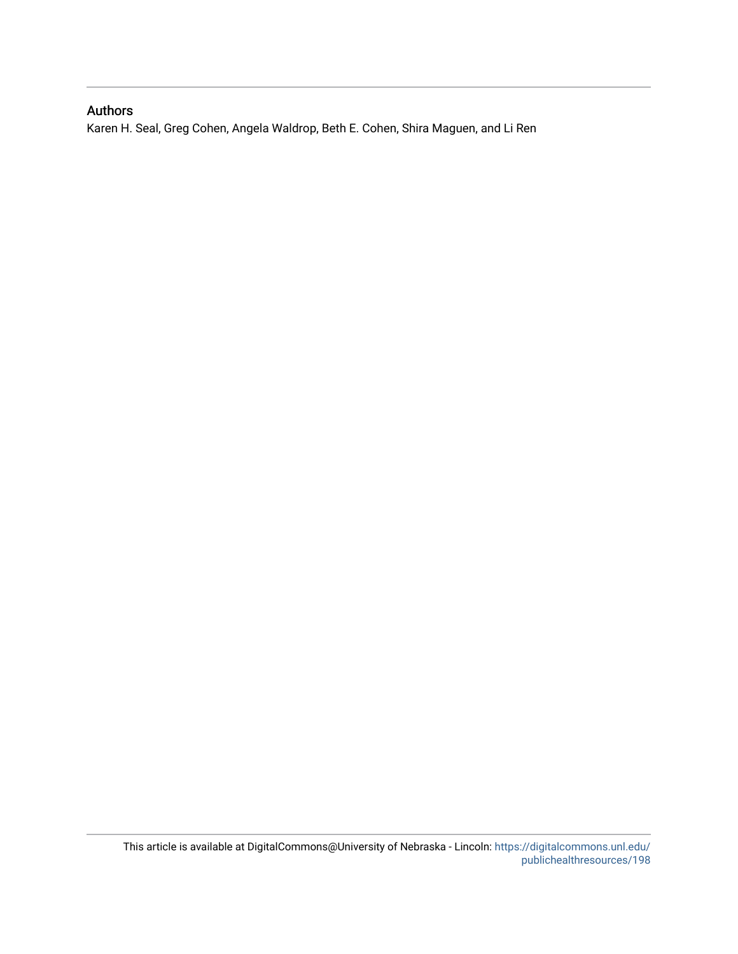# Authors

Karen H. Seal, Greg Cohen, Angela Waldrop, Beth E. Cohen, Shira Maguen, and Li Ren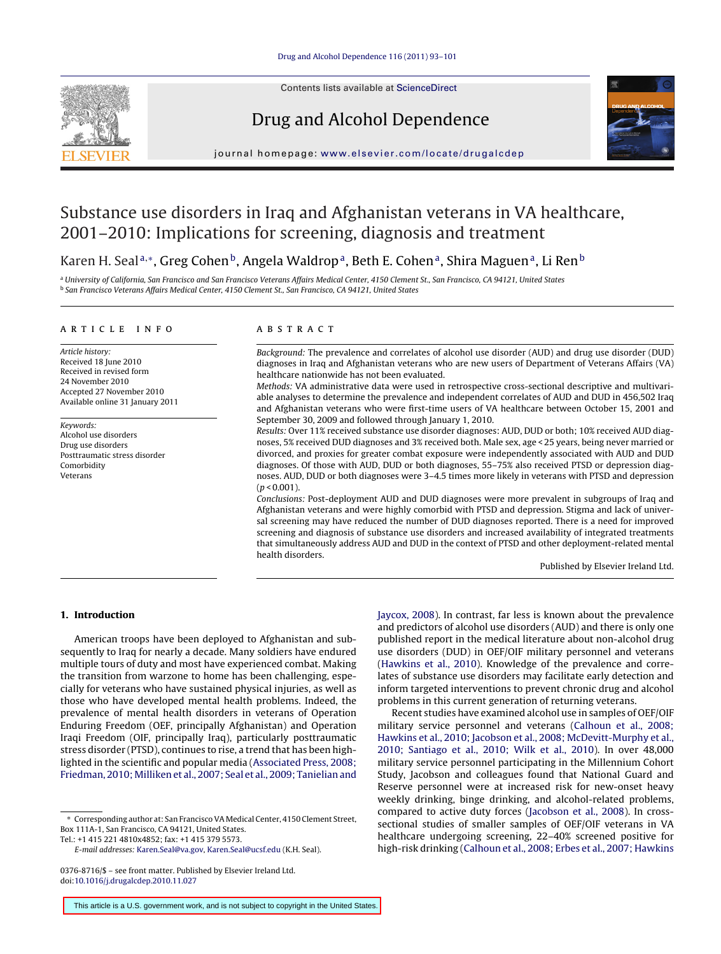

Contents lists available at [ScienceDirect](http://www.sciencedirect.com/science/journal/03768716)

# Drug and Alcohol Dependence



journal homepage: [www.elsevier.com/locate/drugalcdep](http://www.elsevier.com/locate/drugalcdep)

# Substance use disorders in Iraq and Afghanistan veterans in VA healthcare, 2001–2010: Implications for screening, diagnosis and treatment

# Karen H. Seal<sup>a,∗</sup>, Greg Cohen<sup>b</sup>, Angela Waldrop<sup>a</sup>, Beth E. Cohen<sup>a</sup>, Shira Maguen<sup>a</sup>, Li Ren<sup>b</sup>

a University of California, San Francisco and San Francisco Veterans Affairs Medical Center, 4150 Clement St., San Francisco, CA 94121, United States <sup>b</sup> San Francisco Veterans Affairs Medical Center, 4150 Clement St., San Francisco, CA 94121, United States

#### article info

Article history: Received 18 June 2010 Received in revised form 24 November 2010 Accepted 27 November 2010 Available online 31 January 2011

Keywords: Alcohol use disorders Drug use disorders Posttraumatic stress disorder Comorbidity Veterans

# **ABSTRACT**

Background: The prevalence and correlates of alcohol use disorder (AUD) and drug use disorder (DUD) diagnoses in Iraq and Afghanistan veterans who are new users of Department of Veterans Affairs (VA) healthcare nationwide has not been evaluated.

Methods: VA administrative data were used in retrospective cross-sectional descriptive and multivariable analyses to determine the prevalence and independent correlates of AUD and DUD in 456,502 Iraq and Afghanistan veterans who were first-time users of VA healthcare between October 15, 2001 and September 30, 2009 and followed through January 1, 2010.

Results: Over 11% received substance use disorder diagnoses: AUD, DUD or both; 10% received AUD diagnoses, 5% received DUD diagnoses and 3% received both. Male sex, age < 25 years, being never married or divorced, and proxies for greater combat exposure were independently associated with AUD and DUD diagnoses. Of those with AUD, DUD or both diagnoses, 55–75% also received PTSD or depression diagnoses. AUD, DUD or both diagnoses were 3–4.5 times more likely in veterans with PTSD and depression  $(p < 0.001)$ .

Conclusions: Post-deployment AUD and DUD diagnoses were more prevalent in subgroups of Iraq and Afghanistan veterans and were highly comorbid with PTSD and depression. Stigma and lack of universal screening may have reduced the number of DUD diagnoses reported. There is a need for improved screening and diagnosis of substance use disorders and increased availability of integrated treatments that simultaneously address AUD and DUD in the context of PTSD and other deployment-related mental health disorders.

Published by Elsevier Ireland Ltd.

# **1. Introduction**

American troops have been deployed to Afghanistan and subsequently to Iraq for nearly a decade. Many soldiers have endured multiple tours of duty and most have experienced combat. Making the transition from warzone to home has been challenging, especially for veterans who have sustained physical injuries, as well as those who have developed mental health problems. Indeed, the prevalence of mental health disorders in veterans of Operation Enduring Freedom (OEF, principally Afghanistan) and Operation Iraqi Freedom (OIF, principally Iraq), particularly posttraumatic stress disorder (PTSD), continues to rise, a trend that has been highlighted in the scientific and popular media [\(Associated Press, 2008;](#page-9-0) [Friedman, 2010; Milliken et al., 2007; Seal et al., 2009; Tanielian and](#page-9-0)

Tel.: +1 415 221 4810x4852; fax: +1 415 379 5573.

[Jaycox, 2008\).](#page-9-0) In contrast, far less is known about the prevalence and predictors of alcohol use disorders (AUD) and there is only one published report in the medical literature about non-alcohol drug use disorders (DUD) in OEF/OIF military personnel and veterans [\(Hawkins et al., 2010\).](#page-9-0) Knowledge of the prevalence and correlates of substance use disorders may facilitate early detection and inform targeted interventions to prevent chronic drug and alcohol problems in this current generation of returning veterans.

Recent studies have examined alcohol use in samples of OEF/OIF military service personnel and veterans [\(Calhoun et al., 2008;](#page-9-0) [Hawkins et al., 2010; Jacobson et al., 2008; McDevitt-Murphy et al.,](#page-9-0) [2010; Santiago et al., 2010; Wilk et al., 2010\).](#page-9-0) In over 48,000 military service personnel participating in the Millennium Cohort Study, Jacobson and colleagues found that National Guard and Reserve personnel were at increased risk for new-onset heavy weekly drinking, binge drinking, and alcohol-related problems, compared to active duty forces ([Jacobson et al., 2008\).](#page-9-0) In crosssectional studies of smaller samples of OEF/OIF veterans in VA healthcare undergoing screening, 22–40% screened positive for high-risk drinking [\(Calhoun et al., 2008; Erbes et al., 2007; Hawkins](#page-9-0)

<sup>∗</sup> Corresponding author at: San Francisco VA Medical Center, 4150 Clement Street, Box 111A-1, San Francisco, CA 94121, United States.

E-mail addresses: [Karen.Seal@va.gov](mailto:Karen.Seal@va.gov), [Karen.Seal@ucsf.edu](mailto:Karen.Seal@ucsf.edu) (K.H. Seal).

<sup>0376-8716/\$ –</sup> see front matter. Published by Elsevier Ireland Ltd. doi:[10.1016/j.drugalcdep.2010.11.027](dx.doi.org/10.1016/j.drugalcdep.2010.11.027)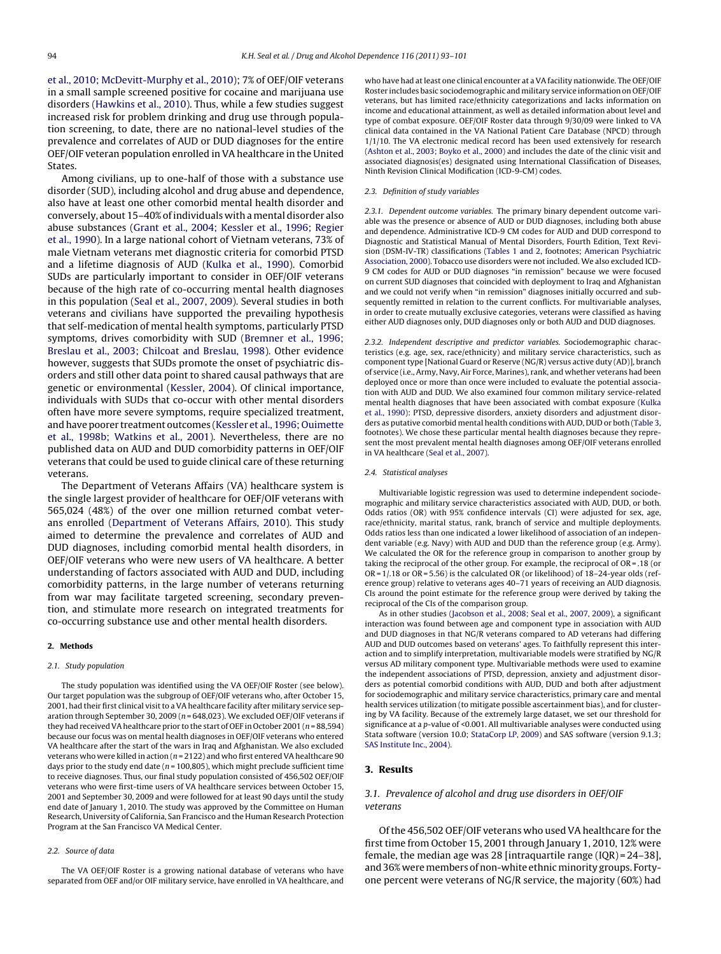[et al., 2010; McDevitt-Murphy et al., 2010\);](#page-9-0) 7% of OEF/OIF veterans in a small sample screened positive for cocaine and marijuana use disorders ([Hawkins et al., 2010\).](#page-9-0) Thus, while a few studies suggest increased risk for problem drinking and drug use through population screening, to date, there are no national-level studies of the prevalence and correlates of AUD or DUD diagnoses for the entire OEF/OIF veteran population enrolled in VA healthcare in the United States.

Among civilians, up to one-half of those with a substance use disorder (SUD), including alcohol and drug abuse and dependence, also have at least one other comorbid mental health disorder and conversely, about 15–40% of individuals with a mental disorder also abuse substances ([Grant et al., 2004; Kessler et al., 1996; Regier](#page-9-0) [et al., 1990\).](#page-9-0) In a large national cohort of Vietnam veterans, 73% of male Vietnam veterans met diagnostic criteria for comorbid PTSD and a lifetime diagnosis of AUD ([Kulka et al., 1990\).](#page-9-0) Comorbid SUDs are particularly important to consider in OEF/OIF veterans because of the high rate of co-occurring mental health diagnoses in this population ([Seal et al., 2007, 2009\).](#page-10-0) Several studies in both veterans and civilians have supported the prevailing hypothesis that self-medication of mental health symptoms, particularly PTSD symptoms, drives comorbidity with SUD [\(Bremner et al., 1996;](#page-9-0) [Breslau et al., 2003; Chilcoat and Breslau, 1998\).](#page-9-0) Other evidence however, suggests that SUDs promote the onset of psychiatric disorders and still other data point to shared causal pathways that are genetic or environmental [\(Kessler, 2004\).](#page-9-0) Of clinical importance, individuals with SUDs that co-occur with other mental disorders often have more severe symptoms, require specialized treatment, and have poorer treatment outcomes ([Kessler et al., 1996; Ouimette](#page-9-0) [et al., 1998b; Watkins et al., 2001\).](#page-9-0) Nevertheless, there are no published data on AUD and DUD comorbidity patterns in OEF/OIF veterans that could be used to guide clinical care of these returning veterans.

The Department of Veterans Affairs (VA) healthcare system is the single largest provider of healthcare for OEF/OIF veterans with 565,024 (48%) of the over one million returned combat veterans enrolled ([Department of Veterans Affairs, 2010\).](#page-9-0) This study aimed to determine the prevalence and correlates of AUD and DUD diagnoses, including comorbid mental health disorders, in OEF/OIF veterans who were new users of VA healthcare. A better understanding of factors associated with AUD and DUD, including comorbidity patterns, in the large number of veterans returning from war may facilitate targeted screening, secondary prevention, and stimulate more research on integrated treatments for co-occurring substance use and other mental health disorders.

#### **2. Methods**

#### 2.1. Study population

The study population was identified using the VA OEF/OIF Roster (see below). Our target population was the subgroup of OEF/OIF veterans who, after October 15, 2001, had their first clinical visit to a VA healthcare facility after military service separation through September 30, 2009 ( $n = 648,023$ ). We excluded OEF/OIF veterans if they had received VA healthcare prior to the start of OEF in October 2001 ( $n = 88,594$ ) because our focus was on mental health diagnoses in OEF/OIF veterans who entered VA healthcare after the start of the wars in Iraq and Afghanistan. We also excluded veterans who were killed in action ( $n = 2122$ ) and who first entered VA healthcare 90 days prior to the study end date ( $n = 100,805$ ), which might preclude sufficient time to receive diagnoses. Thus, our final study population consisted of 456,502 OEF/OIF veterans who were first-time users of VA healthcare services between October 15, 2001 and September 30, 2009 and were followed for at least 90 days until the study end date of January 1, 2010. The study was approved by the Committee on Human Research, University of California, San Francisco and the Human Research Protection Program at the San Francisco VA Medical Center.

#### 2.2. Source of data

The VA OEF/OIF Roster is a growing national database of veterans who have separated from OEF and/or OIF military service, have enrolled in VA healthcare, and who have had at least one clinical encounter at a VA facility nationwide. The OEF/OIF Roster includes basic sociodemographic and military service information on OEF/OIF veterans, but has limited race/ethnicity categorizations and lacks information on income and educational attainment, as well as detailed information about level and type of combat exposure. OEF/OIF Roster data through 9/30/09 were linked to VA clinical data contained in the VA National Patient Care Database (NPCD) through 1/1/10. The VA electronic medical record has been used extensively for research ([Ashton et al., 2003; Boyko et al., 2000\) a](#page-8-0)nd includes the date of the clinic visit and associated diagnosis(es) designated using International Classification of Diseases, Ninth Revision Clinical Modification (ICD-9-CM) codes.

#### 2.3. Definition of study variables

2.3.1. Dependent outcome variables. The primary binary dependent outcome variable was the presence or absence of AUD or DUD diagnoses, including both abuse and dependence. Administrative ICD-9 CM codes for AUD and DUD correspond to Diagnostic and Statistical Manual of Mental Disorders, Fourth Edition, Text Revision (DSM-IV-TR) classifications [\(Tables 1 and 2,](#page-4-0) footnotes; [American Psychiatric](#page-8-0) [Association, 2000\).](#page-8-0) Tobacco use disorders were not included. We also excluded ICD-9 CM codes for AUD or DUD diagnoses "in remission" because we were focused on current SUD diagnoses that coincided with deployment to Iraq and Afghanistan and we could not verify when "in remission" diagnoses initially occurred and subsequently remitted in relation to the current conflicts. For multivariable analyses, in order to create mutually exclusive categories, veterans were classified as having either AUD diagnoses only, DUD diagnoses only or both AUD and DUD diagnoses.

2.3.2. Independent descriptive and predictor variables. Sociodemographic characteristics (e.g. age, sex, race/ethnicity) and military service characteristics, such as component type [National Guard or Reserve (NG/R) versus active duty (AD)], branch of service (i.e., Army, Navy, Air Force, Marines), rank, and whether veterans had been deployed once or more than once were included to evaluate the potential association with AUD and DUD. We also examined four common military service-related mental health diagnoses that have been associated with combat exposure ([Kulka](#page-9-0) [et al., 1990\):](#page-9-0) PTSD, depressive disorders, anxiety disorders and adjustment disorders as putative comorbid mental health conditions with AUD, DUD or both ([Table 3,](#page-6-0) footnotes). We chose these particular mental health diagnoses because they represent the most prevalent mental health diagnoses among OEF/OIF veterans enrolled in VA healthcare ([Seal et al., 2007\).](#page-10-0)

#### 2.4. Statistical analyses

Multivariable logistic regression was used to determine independent sociodemographic and military service characteristics associated with AUD, DUD, or both. Odds ratios (OR) with 95% confidence intervals (CI) were adjusted for sex, age, race/ethnicity, marital status, rank, branch of service and multiple deployments. Odds ratios less than one indicated a lower likelihood of association of an independent variable (e.g. Navy) with AUD and DUD than the reference group (e.g. Army). We calculated the OR for the reference group in comparison to another group by taking the reciprocal of the other group. For example, the reciprocal of OR = .18 (or OR = 1/.18 or OR = 5.56) is the calculated OR (or likelihood) of 18–24-year olds (reference group) relative to veterans ages 40–71 years of receiving an AUD diagnosis. CIs around the point estimate for the reference group were derived by taking the reciprocal of the CIs of the comparison group.

As in other studies [\(Jacobson et al., 2008; Seal et al., 2007, 2009\),](#page-9-0) a significant interaction was found between age and component type in association with AUD and DUD diagnoses in that NG/R veterans compared to AD veterans had differing AUD and DUD outcomes based on veterans' ages. To faithfully represent this interaction and to simplify interpretation, multivariable models were stratified by NG/R versus AD military component type. Multivariable methods were used to examine the independent associations of PTSD, depression, anxiety and adjustment disorders as potential comorbid conditions with AUD, DUD and both after adjustment for sociodemographic and military service characteristics, primary care and mental health services utilization (to mitigate possible ascertainment bias), and for clustering by VA facility. Because of the extremely large dataset, we set our threshold for significance at a p-value of <0.001. All multivariable analyses were conducted using Stata software (version 10.0; [StataCorp LP, 2009\) a](#page-10-0)nd SAS software (version 9.1.3; [SAS Institute Inc., 2004\).](#page-10-0)

### **3. Results**

### 3.1. Prevalence of alcohol and drug use disorders in OEF/OIF veterans

Of the 456,502 OEF/OIF veterans who used VA healthcare for the first time from October 15, 2001 through January 1, 2010, 12% were female, the median age was 28 [intraquartile range (IQR) = 24–38], and 36% were members of non-white ethnic minority groups. Fortyone percent were veterans of NG/R service, the majority (60%) had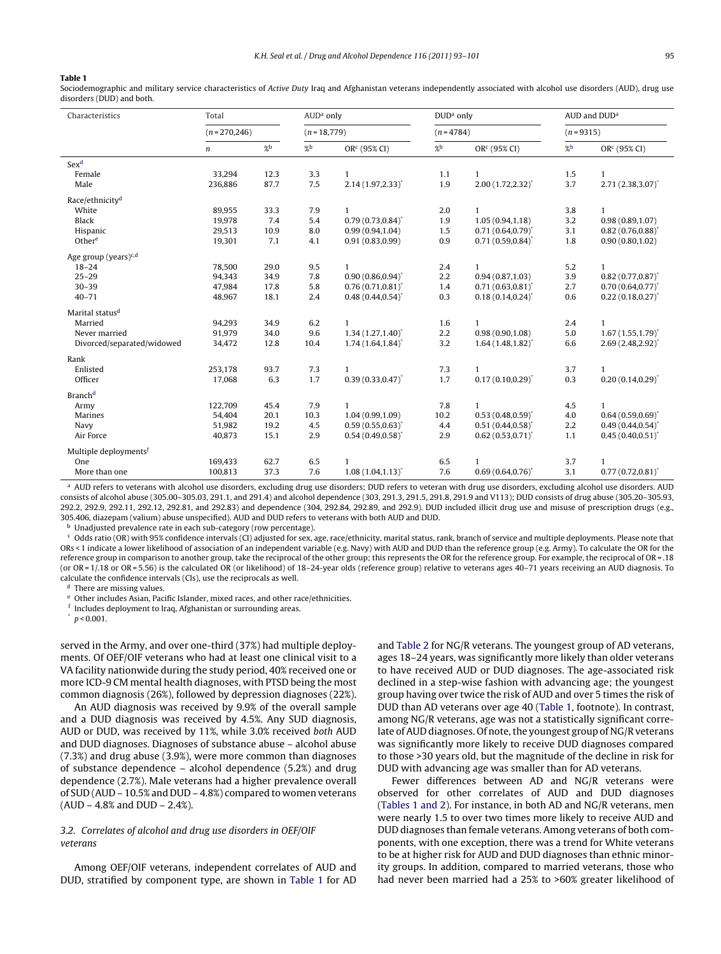#### <span id="page-4-0"></span>**Table 1**

Sociodemographic and military service characteristics of Active Duty Iraq and Afghanistan veterans independently associated with alcohol use disorders (AUD), drug use disorders (DUD) and both.

| Characteristics                   | Total<br>$(n=270,246)$     |      | $AUDa$ only  |                                | DUD <sup>a</sup> only |                                  | AUD and DUD <sup>a</sup> |                                |
|-----------------------------------|----------------------------|------|--------------|--------------------------------|-----------------------|----------------------------------|--------------------------|--------------------------------|
|                                   |                            |      | $(n=18,779)$ |                                | $(n=4784)$            |                                  | $(n = 9315)$             |                                |
|                                   | $\%$ b<br>$\boldsymbol{n}$ |      | $\%$ b       | OR <sup>c</sup> (95% CI)       |                       | $\%$<br>OR <sup>c</sup> (95% CI) |                          | OR <sup>c</sup> (95% CI)       |
| Sex <sup>d</sup>                  |                            |      |              |                                |                       |                                  |                          |                                |
| Female                            | 33,294                     | 12.3 | 3.3          | $\mathbf{1}$                   | 1.1                   | $\mathbf{1}$                     | 1.5                      | 1                              |
| Male                              | 236,886                    | 87.7 | 7.5          | $2.14(1.97, 2.33)^{*}$         | 1.9                   | $2.00(1.72, 2.32)^{*}$           | 3.7                      | $2.71(2.38,3.07)^{*}$          |
| Race/ethnicity <sup>d</sup>       |                            |      |              |                                |                       |                                  |                          |                                |
| White                             | 89,955                     | 33.3 | 7.9          | $\mathbf{1}$                   | 2.0                   | $\mathbf{1}$                     | 3.8<br>$\mathbf{1}$      |                                |
| <b>Black</b>                      | 19,978                     | 7.4  | 5.4          | 0.79(0.73,0.84)                | 1.9                   | 1.05(0.94, 1.18)                 | 3.2                      | 0.98(0.89, 1.07)               |
| Hispanic                          | 29,513                     | 10.9 | 8.0          | 0.99(0.94, 1.04)               |                       | 0.71(0.64, 0.79)                 | 3.1                      | 0.82(0.76, 0.88)               |
| Othere                            | 19,301                     | 7.1  | 4.1          | 0.91(0.83, 0.99)               | 0.9                   | 0.71(0.59,0.84)                  | 1.8                      | 0.90(0.80, 1.02)               |
| Age group (years) $c,d$           |                            |      |              |                                |                       |                                  |                          |                                |
| $18 - 24$                         | 78.500                     | 29.0 | 9.5          | $\mathbf{1}$                   | 2.4                   | $\mathbf{1}$                     | 5.2                      | $\mathbf{1}$                   |
| $25 - 29$                         | 94,343                     | 34.9 | 7.8          | 0.90(0.86, 0.94)               | 2.2                   | 0.94(0.87, 1.03)                 | 3.9                      | 0.82(0.77,0.87)                |
| $30 - 39$                         | 47,984                     | 17.8 | 5.8          | 0.76(0.71,0.81)                | 1.4                   | $0.71(0.63,0.81)^{*}$            | 2.7                      | $0.70(0.64,0.77)^{*}$          |
| $40 - 71$                         | 48,967                     | 18.1 | 2.4          | 0.48(0.44,0.54)                | 0.3                   | $0.18(0.14, 0.24)^{*}$           | 0.6                      | 0.22(0.18,0.27)                |
| Marital status <sup>d</sup>       |                            |      |              |                                |                       |                                  |                          |                                |
| Married                           | 94,293                     | 34.9 | 6.2          | $\mathbf{1}$                   | 1.6                   | $\mathbf{1}$                     | 2.4                      | $\mathbf{1}$                   |
| Never married                     | 91,979                     | 34.0 | 9.6          | $1.34(1.27,1.40)$ <sup>*</sup> | 2.2                   | 0.98(0.90, 1.08)                 | 5.0                      | $1.67(1.55,1.79)$ <sup>*</sup> |
| Divorced/separated/widowed        | 34,472                     | 12.8 | 10.4         | 1.74(1.64, 1.84)               | 3.2                   | 1.64(1.48, 1.82)                 | 6.6                      | $2.69(2.48, 2.92)^{4}$         |
| Rank                              |                            |      |              |                                |                       |                                  |                          |                                |
| Enlisted                          | 253,178                    | 93.7 | 7.3          | $\mathbf{1}$                   | 7.3                   | $\mathbf{1}$                     | 3.7                      | $\mathbf{1}$                   |
| Officer                           | 17,068                     | 6.3  | 1.7          | $0.39(0.33,0.47)$ <sup>*</sup> | 1.7                   | $0.17(0.10,0.29)^{*}$            | 0.3                      | $0.20(0.14, 0.29)^{*}$         |
| <b>Branch</b> <sup>d</sup>        |                            |      |              |                                |                       |                                  |                          |                                |
| Army                              | 122,709                    | 45.4 | 7.9          | $\mathbf{1}$                   | 7.8                   | $\mathbf{1}$                     | 4.5                      | $\mathbf{1}$                   |
| <b>Marines</b>                    | 54,404                     | 20.1 | 10.3         | 1.04(0.99, 1.09)               | 10.2                  | $0.53(0.48,0.59)$ *              | 4.0                      | $0.64(0.59,0.69)$ <sup>*</sup> |
| Navy                              | 51,982                     | 19.2 | 4.5          | 0.59(0.55,0.63)                | 4.4                   | 0.51(0.44, 0.58)                 | 2.2                      | 0.49(0.44, 0.54)               |
| Air Force                         | 40,873                     | 15.1 | 2.9          | 0.54(0.49, 0.58)               | 2.9                   | 0.62(0.53,0.71)                  | 1.1                      | 0.45(0.40, 0.51)               |
| Multiple deployments <sup>f</sup> |                            |      |              |                                |                       |                                  |                          |                                |
| One                               | 169,433                    | 62.7 | 6.5          | $\mathbf{1}$                   | 6.5                   | $\mathbf{1}$                     | 3.7                      | 1                              |
| More than one                     | 100,813                    | 37.3 | 7.6          | $1.08(1.04,1.13)$ <sup>*</sup> | 7.6                   | 0.69(0.64, 0.76)                 | 3.1                      | $0.77(0.72,0.81)$ <sup>*</sup> |

a AUD refers to veterans with alcohol use disorders, excluding drug use disorders; DUD refers to veteran with drug use disorders, excluding alcohol use disorders. AUD consists of alcohol abuse (305.00–305.03, 291.1, and 291.4) and alcohol dependence (303, 291.3, 291.5, 291.8, 291.9 and V113); DUD consists of drug abuse (305.20–305.93, 292.2, 292.9, 292.11, 292.12, 292.81, and 292.83) and dependence (304, 292.84, 292.89, and 292.9). DUD included illicit drug use and misuse of prescription drugs (e.g., 305.406, diazepam (valium) abuse unspecified). AUD and DUD refers to veterans with both AUD and DUD.

Unadjusted prevalence rate in each sub-category (row percentage).

Odds ratio (OR) with 95% confidence intervals (CI) adjusted for sex, age, race/ethnicity, marital status, rank, branch of service and multiple deployments. Please note that ORs < 1 indicate a lower likelihood of association of an independent variable (e.g. Navy) with AUD and DUD than the reference group (e.g. Army). To calculate the OR for the reference group in comparison to another group, take the reciprocal of the other group; this represents the OR for the reference group. For example, the reciprocal of OR = .18 (or OR = 1/.18 or OR = 5.56) is the calculated OR (or likelihood) of 18–24-year olds (reference group) relative to veterans ages 40–71 years receiving an AUD diagnosis. To calculate the confidence intervals (CIs), use the reciprocals as well.

There are missing values.

<sup>e</sup> Other includes Asian, Pacific Islander, mixed races, and other race/ethnicities.

<sup>f</sup> Includes deployment to Iraq, Afghanistan or surrounding areas.

 $p < 0.001$ .

served in the Army, and over one-third (37%) had multiple deployments. Of OEF/OIF veterans who had at least one clinical visit to a VA facility nationwide during the study period, 40% received one or more ICD-9 CM mental health diagnoses, with PTSD being the most common diagnosis (26%), followed by depression diagnoses (22%).

An AUD diagnosis was received by 9.9% of the overall sample and a DUD diagnosis was received by 4.5%. Any SUD diagnosis, AUD or DUD, was received by 11%, while 3.0% received both AUD and DUD diagnoses. Diagnoses of substance abuse – alcohol abuse (7.3%) and drug abuse (3.9%), were more common than diagnoses of substance dependence – alcohol dependence (5.2%) and drug dependence (2.7%). Male veterans had a higher prevalence overall of SUD (AUD – 10.5% and DUD – 4.8%) compared to women veterans (AUD – 4.8% and DUD – 2.4%).

## 3.2. Correlates of alcohol and drug use disorders in OEF/OIF veterans

Among OEF/OIF veterans, independent correlates of AUD and DUD, stratified by component type, are shown in Table 1 for AD and [Table 2](#page-5-0) for NG/R veterans. The youngest group of AD veterans, ages 18–24 years, was significantly more likely than older veterans to have received AUD or DUD diagnoses. The age-associated risk declined in a step-wise fashion with advancing age; the youngest group having over twice the risk of AUD and over 5 times the risk of DUD than AD veterans over age 40 (Table 1, footnote). In contrast, among NG/R veterans, age was not a statistically significant correlate of AUD diagnoses. Of note, the youngest group of NG/R veterans was significantly more likely to receive DUD diagnoses compared to those >30 years old, but the magnitude of the decline in risk for DUD with advancing age was smaller than for AD veterans.

Fewer differences between AD and NG/R veterans were observed for other correlates of AUD and DUD diagnoses (Tables 1 and 2). For instance, in both AD and NG/R veterans, men were nearly 1.5 to over two times more likely to receive AUD and DUD diagnoses than female veterans. Among veterans of both components, with one exception, there was a trend for White veterans to be at higher risk for AUD and DUD diagnoses than ethnic minority groups. In addition, compared to married veterans, those who had never been married had a 25% to >60% greater likelihood of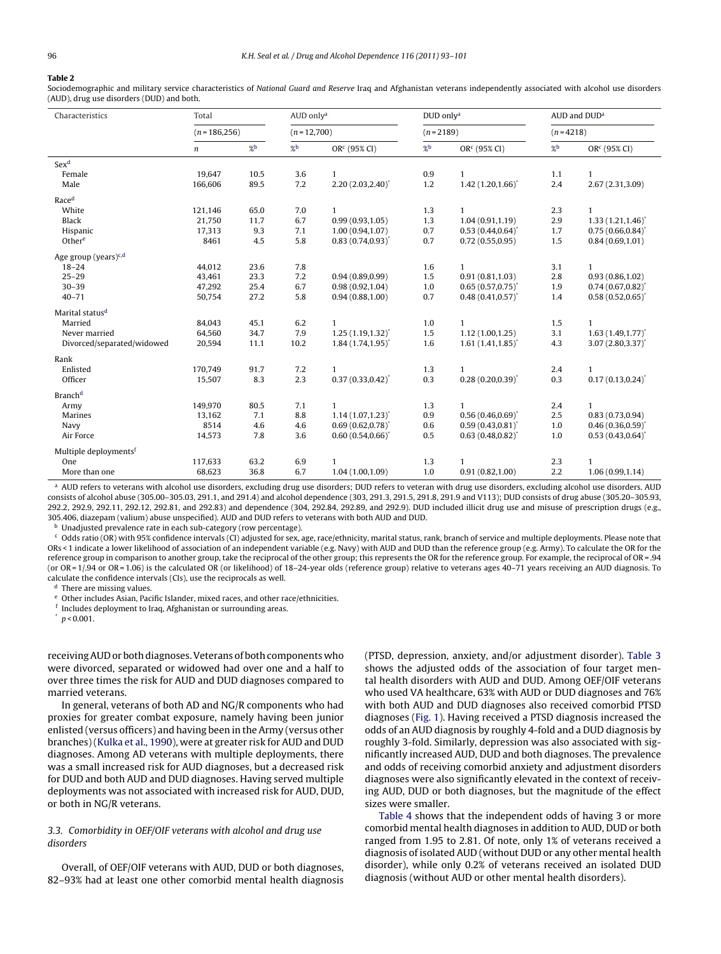### <span id="page-5-0"></span>**Table 2**

Sociodemographic and military service characteristics of National Guard and Reserve Iraq and Afghanistan veterans independently associated with alcohol use disorders (AUD), drug use disorders (DUD) and both.

| Characteristics                   | Total         |        | AUD only <sup>a</sup> |                                 | DUD only <sup>a</sup> |                                 | AUD and DUD <sup>a</sup><br>$(n=4218)$ |                                 |
|-----------------------------------|---------------|--------|-----------------------|---------------------------------|-----------------------|---------------------------------|----------------------------------------|---------------------------------|
|                                   | $(n=186,256)$ |        |                       | $(n=12,700)$                    |                       | $(n=2189)$                      |                                        |                                 |
| n                                 |               | $\%$ b | $\%$                  | OR <sup>c</sup> (95% CI)        | $\rm \mathcal{X}^b$   | OR <sup>c</sup> (95% CI)        | $\%$                                   | OR <sup>c</sup> (95% CI)        |
| Sex <sup>d</sup>                  |               |        |                       |                                 |                       |                                 |                                        |                                 |
| Female                            | 19.647        | 10.5   | 3.6                   | 1                               | 0.9                   | 1                               | 1,1                                    | $\mathbf{1}$                    |
| Male                              | 166,606       | 89.5   | 7.2                   | $2,20(2,03,2.40)^{*}$           | 1.2                   | $1.42(1.20,1.66)$ <sup>*</sup>  | 2.4                                    | 2.67(2.31,3.09)                 |
| Race <sup>d</sup>                 |               |        |                       |                                 |                       |                                 |                                        |                                 |
| White                             | 121,146       | 65.0   | 7.0                   | 1                               | 1.3                   | $\mathbf{1}$                    | 2.3                                    | $\mathbf{1}$                    |
| <b>Black</b>                      | 21,750        | 11.7   | 6.7                   | 0.99(0.93, 1.05)                | 1.3                   | 1.04(0.91, 1.19)                | 2.9                                    | $1.33(1.21, 1.46)$ <sup>*</sup> |
| Hispanic                          | 17,313        | 9.3    | 7.1                   | 1.00(0.94, 1.07)                | 0.7                   | 0.53(0.44,0.64)                 | 1.7                                    | $0.75(0.66, 0.84)^{*}$          |
| Othere                            | 8461          | 4.5    | 5.8                   | $0.83(0.74, 0.93)^{*}$          | 0.7                   | 0.72(0.55, 0.95)                | 1.5                                    | 0.84(0.69, 1.01)                |
| Age group (years) <sup>c,d</sup>  |               |        |                       |                                 |                       |                                 |                                        |                                 |
| $18 - 24$                         | 44,012        | 23.6   | 7.8                   |                                 | 1.6                   | $\mathbf{1}$                    | 3.1                                    | $\mathbf{1}$                    |
| $25 - 29$                         | 43,461        | 23.3   | 7.2                   | 0.94(0.89, 0.99)                | 1.5                   | 0.91(0.81, 1.03)                | 2.8                                    | 0.93(0.86, 1.02)                |
| $30 - 39$                         | 47,292        | 25.4   | 6.7                   | 0.98(0.92, 1.04)                | 1.0                   | $0.65(0.57,0.75)$ <sup>*</sup>  | 1.9                                    | $0.74(0.67,0.82)$ <sup>*</sup>  |
| $40 - 71$                         | 50,754        | 27.2   | 5.8                   | 0.94(0.88, 1.00)                | 0.7                   | 0.48(0.41, 0.57)                | 1.4                                    | 0.58(0.52,0.65)                 |
| Marital status <sup>d</sup>       |               |        |                       |                                 |                       |                                 |                                        |                                 |
| Married                           | 84,043        | 45.1   | 6.2                   | 1                               | 1.0                   | $\mathbf{1}$                    | 1.5                                    | $\mathbf{1}$                    |
| Never married                     | 64,560        | 34.7   | 7.9                   | $1.25(1.19, 1.32)^{*}$          | 1.5                   | 1.12(1.00, 1.25)                | 3.1                                    | 1.63(1.49, 1.77)                |
| Divorced/separated/widowed        | 20,594        | 11.1   | 10.2                  | 1.84(1.74,1.95)                 | 1.6                   | $1.61(1.41, 1.85)$ <sup>*</sup> | 4.3                                    | $3.07(2.80, 3.37)^{*}$          |
| Rank                              |               |        |                       |                                 |                       |                                 |                                        |                                 |
| Enlisted                          | 170,749       | 91.7   | 7.2                   | $\mathbf{1}$                    | 1.3                   | $\mathbf{1}$                    | 2.4                                    | $\mathbf{1}$                    |
| Officer                           | 15,507        | 8.3    | 2.3                   | $0.37(0.33,0.42)^{*}$           | 0.3                   | $0.28(0.20, 0.39)^{*}$          | 0.3                                    | $0.17(0.13,0.24)$ <sup>*</sup>  |
| <b>Branch</b> <sup>d</sup>        |               |        |                       |                                 |                       |                                 |                                        |                                 |
| Army                              | 149,970       | 80.5   | 7.1                   | 1                               | 1.3                   | $\mathbf{1}$                    | 2.4                                    | $\mathbf{1}$                    |
| Marines                           | 13,162        | 7.1    | 8.8                   | $1.14(1.07, 1.23)$ <sup>*</sup> | 0.9                   | $0.56(0.46, 0.69)$ <sup>*</sup> | 2.5                                    | 0.83(0.73, 0.94)                |
| Navy                              | 8514          | 4.6    | 4.6                   | 0.69(0.62,0.78)                 | 0.6                   | 0.59(0.43,0.81)                 | 1.0                                    | 0.46(0.36, 0.59)                |
| Air Force                         | 14,573        | 7.8    | 3.6                   | 0.60(0.54, 0.66)                | 0.5                   | 0.63(0.48,0.82)                 | 1.0                                    | 0.53(0.43,0.64)                 |
| Multiple deployments <sup>f</sup> |               |        |                       |                                 |                       |                                 |                                        |                                 |
| One                               | 117,633       | 63.2   | 6.9                   | 1                               | 1.3                   | $\mathbf{1}$                    | 2.3                                    | $\mathbf{1}$                    |
| More than one                     | 68,623        | 36.8   | 6.7                   | 1.04(1.00, 1.09)                | 1.0                   | 0.91(0.82, 1.00)                | 2.2                                    | 1.06(0.99, 1.14)                |

a AUD refers to veterans with alcohol use disorders, excluding drug use disorders; DUD refers to veteran with drug use disorders, excluding alcohol use disorders. AUD consists of alcohol abuse (305.00–305.03, 291.1, and 291.4) and alcohol dependence (303, 291.3, 291.5, 291.8, 291.9 and V113); DUD consists of drug abuse (305.20–305.93, 292.2, 292.9, 292.11, 292.12, 292.81, and 292.83) and dependence (304, 292.84, 292.89, and 292.9). DUD included illicit drug use and misuse of prescription drugs (e.g., 305.406, diazepam (valium) abuse unspecified). AUD and DUD refers to veterans with both AUD and DUD.

**b** Unadjusted prevalence rate in each sub-category (row percentage).

<sup>c</sup> Odds ratio (OR) with 95% confidence intervals (CI) adjusted for sex, age, race/ethnicity, marital status, rank, branch of service and multiple deployments. Please note that ORs < 1 indicate a lower likelihood of association of an independent variable (e.g. Navy) with AUD and DUD than the reference group (e.g. Army). To calculate the OR for the reference group in comparison to another group, take the reciprocal of the other group; this represents the OR for the reference group. For example, the reciprocal of OR = .94 (or OR = 1/.94 or OR = 1.06) is the calculated OR (or likelihood) of 18–24-year olds (reference group) relative to veterans ages 40–71 years receiving an AUD diagnosis. To calculate the confidence intervals (CIs), use the reciprocals as well.

<sup>d</sup> There are missing values.

<sup>e</sup> Other includes Asian, Pacific Islander, mixed races, and other race/ethnicities.

<sup>f</sup> Includes deployment to Iraq, Afghanistan or surrounding areas.

 $p < 0.001$ .

receiving AUD or both diagnoses. Veterans of both components who were divorced, separated or widowed had over one and a half to over three times the risk for AUD and DUD diagnoses compared to married veterans.

In general, veterans of both AD and NG/R components who had proxies for greater combat exposure, namely having been junior enlisted (versus officers) and having been in the Army (versus other branches) [\(Kulka et al., 1990\),](#page-9-0) were at greater risk for AUD and DUD diagnoses. Among AD veterans with multiple deployments, there was a small increased risk for AUD diagnoses, but a decreased risk for DUD and both AUD and DUD diagnoses. Having served multiple deployments was not associated with increased risk for AUD, DUD, or both in NG/R veterans.

# 3.3. Comorbidity in OEF/OIF veterans with alcohol and drug use disorders

Overall, of OEF/OIF veterans with AUD, DUD or both diagnoses, 82–93% had at least one other comorbid mental health diagnosis

(PTSD, depression, anxiety, and/or adjustment disorder). [Table 3](#page-6-0) shows the adjusted odds of the association of four target mental health disorders with AUD and DUD. Among OEF/OIF veterans who used VA healthcare, 63% with AUD or DUD diagnoses and 76% with both AUD and DUD diagnoses also received comorbid PTSD diagnoses [\(Fig. 1\).](#page-6-0) Having received a PTSD diagnosis increased the odds of an AUD diagnosis by roughly 4-fold and a DUD diagnosis by roughly 3-fold. Similarly, depression was also associated with significantly increased AUD, DUD and both diagnoses. The prevalence and odds of receiving comorbid anxiety and adjustment disorders diagnoses were also significantly elevated in the context of receiving AUD, DUD or both diagnoses, but the magnitude of the effect sizes were smaller.

[Table 4](#page-6-0) shows that the independent odds of having 3 or more comorbid mental health diagnoses in addition to AUD, DUD or both ranged from 1.95 to 2.81. Of note, only 1% of veterans received a diagnosis of isolated AUD (without DUD or any other mental health disorder), while only 0.2% of veterans received an isolated DUD diagnosis (without AUD or other mental health disorders).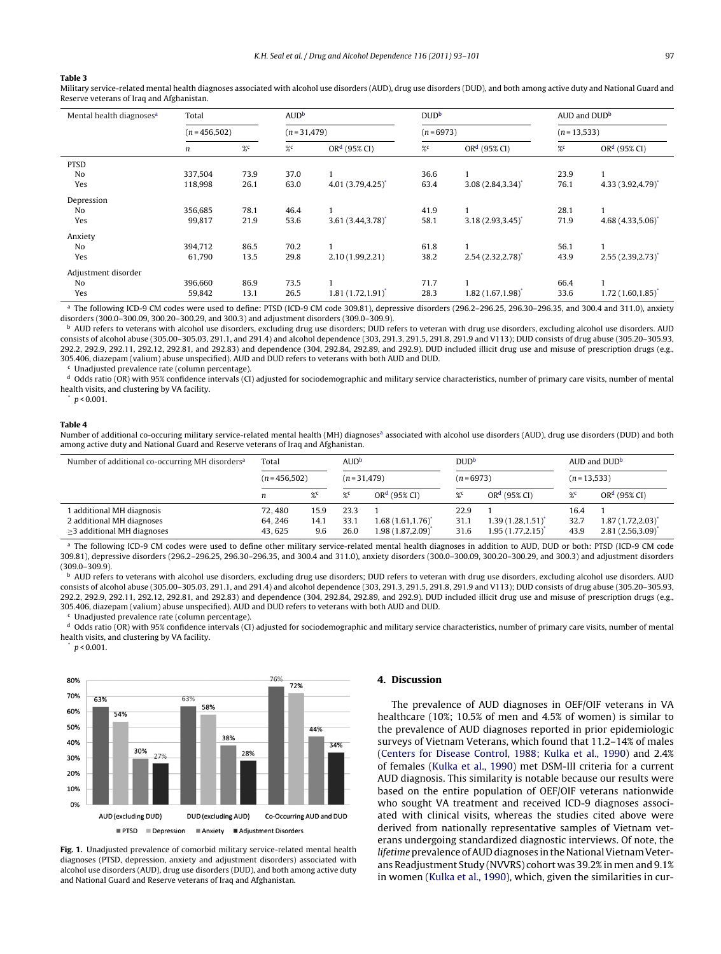#### <span id="page-6-0"></span>**Table 3**

Military service-related mental health diagnoses associated with alcohol use disorders (AUD), drug use disorders (DUD), and both among active duty and National Guard and Reserve veterans of Iraq and Afghanistan.

| AUD and DUD <sup>b</sup>        |  |  |
|---------------------------------|--|--|
| $(n=13,533)$                    |  |  |
| $ORd$ (95% CI)                  |  |  |
|                                 |  |  |
|                                 |  |  |
| $4.33(3.92, 4.79)$ <sup>*</sup> |  |  |
|                                 |  |  |
|                                 |  |  |
| 4.68 $(4.33,5.06)^{*}$          |  |  |
|                                 |  |  |
|                                 |  |  |
| $2.55(2.39,2.73)^{*}$           |  |  |
|                                 |  |  |
|                                 |  |  |
| 1.72(1.60, 1.85)                |  |  |
|                                 |  |  |

<sup>a</sup> The following ICD-9 CM codes were used to define: PTSD (ICD-9 CM code 309.81), depressive disorders (296.2–296.25, 296.30–296.35, and 300.4 and 311.0), anxiety disorders (300.0–300.09, 300.20–300.29, and 300.3) and adjustment disorders (309.0–309.9).

**b** AUD refers to veterans with alcohol use disorders, excluding drug use disorders; DUD refers to veteran with drug use disorders, excluding alcohol use disorders. AUD consists of alcohol abuse (305.00–305.03, 291.1, and 291.4) and alcohol dependence (303, 291.3, 291.5, 291.8, 291.9 and V113); DUD consists of drug abuse (305.20–305.93, 292.2, 292.9, 292.11, 292.12, 292.81, and 292.83) and dependence (304, 292.84, 292.89, and 292.9). DUD included illicit drug use and misuse of prescription drugs (e.g., 305.406, diazepam (valium) abuse unspecified). AUD and DUD refers to veterans with both AUD and DUD.

<sup>c</sup> Unadjusted prevalence rate (column percentage).<br><sup>d</sup> Odds ratio (OR) with 95% confidence intervals (CI

Odds ratio (OR) with 95% confidence intervals (CI) adjusted for sociodemographic and military service characteristics, number of primary care visits, number of mental health visits, and clustering by VA facility.

 $p < 0.001$ .

#### **Table 4**

Number of additional co-occuring military service-related mental health (MH) diagnoses<sup>a</sup> associated with alcohol use disorders (AUD), drug use disorders (DUD) and both among active duty and National Guard and Reserve veterans of Iraq and Afghanistan.

| Number of additional co-occurring MH disorders <sup>a</sup> | Total         |               | AUD <sup>b</sup><br>$(n=31,479)$ |                                 | DU <sub>D</sub> b<br>$(n=6973)$ |                               | AUD and DUD <sup>b</sup><br>$(n=13,533)$ |                        |
|-------------------------------------------------------------|---------------|---------------|----------------------------------|---------------------------------|---------------------------------|-------------------------------|------------------------------------------|------------------------|
|                                                             | $(n=456.502)$ |               |                                  |                                 |                                 |                               |                                          |                        |
|                                                             | n             | $\frac{9}{6}$ | $\%^c$                           | $ORd$ (95% CI)                  | $\%^c$                          | $ORd$ (95% CI)                | $\%$                                     | $ORd$ (95% CI)         |
| additional MH diagnosis                                     | 72.480        | 15.9          | 23.3                             |                                 | 22.9                            |                               | 16.4                                     |                        |
| 2 additional MH diagnoses                                   | 64.246        | 14.1          | 33.1                             | $1.68(1.61, 1.76)$ <sup>*</sup> | 31.1                            | 1.39 (1.28,1.51) $^{\degree}$ | 32.7                                     | $1.87(1.72, 2.03)^{*}$ |
| >3 additional MH diagnoses                                  | 43.625        | 9.6           | 26.0                             | $1.98(1.87,2.09)^{*}$           | 31.6                            | 1.95 (1.77,2.15)              | 43.9                                     | $2.81(2.56,3.09)^{*}$  |

a The following ICD-9 CM codes were used to define other military service-related mental health diagnoses in addition to AUD, DUD or both: PTSD (ICD-9 CM code 309.81), depressive disorders (296.2–296.25, 296.30–296.35, and 300.4 and 311.0), anxiety disorders (300.0–300.09, 300.20–300.29, and 300.3) and adjustment disorders (309.0–309.9).

**b** AUD refers to veterans with alcohol use disorders, excluding drug use disorders; DUD refers to veteran with drug use disorders, excluding alcohol use disorders. AUD consists of alcohol abuse (305.00–305.03, 291.1, and 291.4) and alcohol dependence (303, 291.3, 291.5, 291.8, 291.9 and V113); DUD consists of drug abuse (305.20–305.93, 292.2, 292.9, 292.11, 292.12, 292.81, and 292.83) and dependence (304, 292.84, 292.89, and 292.9). DUD included illicit drug use and misuse of prescription drugs (e.g., 305.406, diazepam (valium) abuse unspecified). AUD and DUD refers to veterans with both AUD and DUD.

Unadjusted prevalence rate (column percentage).

Odds ratio (OR) with 95% confidence intervals (CI) adjusted for sociodemographic and military service characteristics, number of primary care visits, number of mental health visits, and clustering by VA facility.

 $p < 0.001$ .



**Fig. 1.** Unadjusted prevalence of comorbid military service-related mental health diagnoses (PTSD, depression, anxiety and adjustment disorders) associated with alcohol use disorders (AUD), drug use disorders (DUD), and both among active duty and National Guard and Reserve veterans of Iraq and Afghanistan.

#### **4. Discussion**

The prevalence of AUD diagnoses in OEF/OIF veterans in VA healthcare (10%; 10.5% of men and 4.5% of women) is similar to the prevalence of AUD diagnoses reported in prior epidemiologic surveys of Vietnam Veterans, which found that 11.2–14% of males [\(Centers for Disease Control, 1988; Kulka et al., 1990\)](#page-9-0) and 2.4% of females ([Kulka et al., 1990\)](#page-9-0) met DSM-III criteria for a current AUD diagnosis. This similarity is notable because our results were based on the entire population of OEF/OIF veterans nationwide who sought VA treatment and received ICD-9 diagnoses associated with clinical visits, whereas the studies cited above were derived from nationally representative samples of Vietnam veterans undergoing standardized diagnostic interviews. Of note, the lifetime prevalence of AUD diagnoses in the National Vietnam Veterans Readjustment Study (NVVRS) cohort was 39.2% in men and 9.1% in women ([Kulka et al., 1990\),](#page-9-0) which, given the similarities in cur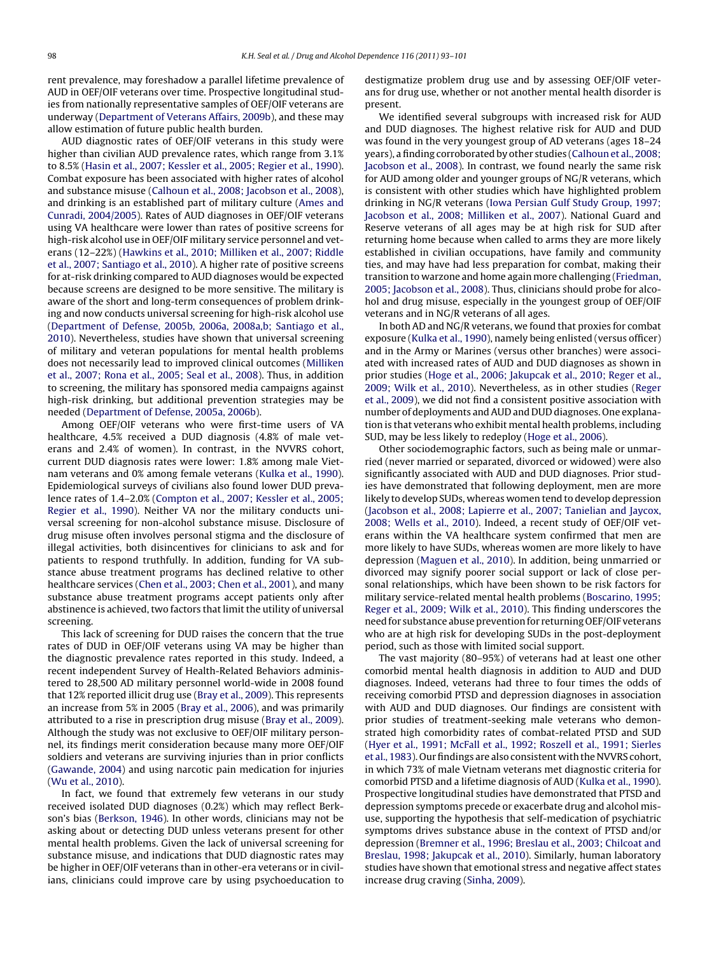rent prevalence, may foreshadow a parallel lifetime prevalence of AUD in OEF/OIF veterans over time. Prospective longitudinal studies from nationally representative samples of OEF/OIF veterans are underway ([Department of Veterans Affairs, 2009b\),](#page-9-0) and these may allow estimation of future public health burden.

AUD diagnostic rates of OEF/OIF veterans in this study were higher than civilian AUD prevalence rates, which range from 3.1% to 8.5% ([Hasin et al., 2007; Kessler et al., 2005; Regier et al., 1990\).](#page-9-0) Combat exposure has been associated with higher rates of alcohol and substance misuse ([Calhoun et al., 2008; Jacobson et al., 2008\),](#page-9-0) and drinking is an established part of military culture [\(Ames and](#page-8-0) [Cunradi, 2004/2005\).](#page-8-0) Rates of AUD diagnoses in OEF/OIF veterans using VA healthcare were lower than rates of positive screens for high-risk alcohol use in OEF/OIF military service personnel and veterans (12–22%) ([Hawkins et al., 2010; Milliken et al., 2007; Riddle](#page-9-0) [et al., 2007; Santiago et al., 2010\).](#page-9-0) A higher rate of positive screens for at-risk drinking compared to AUD diagnoses would be expected because screens are designed to be more sensitive. The military is aware of the short and long-term consequences of problem drinking and now conducts universal screening for high-risk alcohol use ([Department of Defense, 2005b, 2006a, 2008a,b; Santiago et al.,](#page-9-0) [2010\).](#page-9-0) Nevertheless, studies have shown that universal screening of military and veteran populations for mental health problems does not necessarily lead to improved clinical outcomes ([Milliken](#page-9-0) [et al., 2007; Rona et al., 2005; Seal et al., 2008\).](#page-9-0) Thus, in addition to screening, the military has sponsored media campaigns against high-risk drinking, but additional prevention strategies may be needed [\(Department of Defense, 2005a, 2006b\).](#page-9-0)

Among OEF/OIF veterans who were first-time users of VA healthcare, 4.5% received a DUD diagnosis (4.8% of male veterans and 2.4% of women). In contrast, in the NVVRS cohort, current DUD diagnosis rates were lower: 1.8% among male Vietnam veterans and 0% among female veterans ([Kulka et al., 1990\).](#page-9-0) Epidemiological surveys of civilians also found lower DUD prevalence rates of 1.4–2.0% ([Compton et al., 2007; Kessler et al., 2005;](#page-9-0) [Regier et al., 1990\).](#page-9-0) Neither VA nor the military conducts universal screening for non-alcohol substance misuse. Disclosure of drug misuse often involves personal stigma and the disclosure of illegal activities, both disincentives for clinicians to ask and for patients to respond truthfully. In addition, funding for VA substance abuse treatment programs has declined relative to other healthcare services ([Chen et al., 2003; Chen et al., 2001\),](#page-9-0) and many substance abuse treatment programs accept patients only after abstinence is achieved, two factors that limit the utility of universal screening.

This lack of screening for DUD raises the concern that the true rates of DUD in OEF/OIF veterans using VA may be higher than the diagnostic prevalence rates reported in this study. Indeed, a recent independent Survey of Health-Related Behaviors administered to 28,500 AD military personnel world-wide in 2008 found that 12% reported illicit drug use [\(Bray et al., 2009\).](#page-9-0) This represents an increase from 5% in 2005 ([Bray et al., 2006\),](#page-9-0) and was primarily attributed to a rise in prescription drug misuse ([Bray et al., 2009\).](#page-9-0) Although the study was not exclusive to OEF/OIF military personnel, its findings merit consideration because many more OEF/OIF soldiers and veterans are surviving injuries than in prior conflicts ([Gawande, 2004\)](#page-9-0) and using narcotic pain medication for injuries ([Wu et al., 2010\).](#page-10-0)

In fact, we found that extremely few veterans in our study received isolated DUD diagnoses (0.2%) which may reflect Berkson's bias [\(Berkson, 1946\).](#page-9-0) In other words, clinicians may not be asking about or detecting DUD unless veterans present for other mental health problems. Given the lack of universal screening for substance misuse, and indications that DUD diagnostic rates may be higher in OEF/OIF veterans than in other-era veterans or in civilians, clinicians could improve care by using psychoeducation to

destigmatize problem drug use and by assessing OEF/OIF veterans for drug use, whether or not another mental health disorder is present.

We identified several subgroups with increased risk for AUD and DUD diagnoses. The highest relative risk for AUD and DUD was found in the very youngest group of AD veterans (ages 18–24 years), a finding corroborated by other studies [\(Calhoun et al., 2008;](#page-9-0) [Jacobson et al., 2008\).](#page-9-0) In contrast, we found nearly the same risk for AUD among older and younger groups of NG/R veterans, which is consistent with other studies which have highlighted problem drinking in NG/R veterans [\(Iowa Persian Gulf Study Group, 1997;](#page-9-0) [Jacobson et al., 2008; Milliken et al., 2007\).](#page-9-0) National Guard and Reserve veterans of all ages may be at high risk for SUD after returning home because when called to arms they are more likely established in civilian occupations, have family and community ties, and may have had less preparation for combat, making their transition to warzone and home again more challenging ([Friedman,](#page-9-0) [2005; Jacobson et al., 2008\).](#page-9-0) Thus, clinicians should probe for alcohol and drug misuse, especially in the youngest group of OEF/OIF veterans and in NG/R veterans of all ages.

In both AD and NG/R veterans, we found that proxies for combat exposure [\(Kulka et al., 1990\),](#page-9-0) namely being enlisted (versus officer) and in the Army or Marines (versus other branches) were associated with increased rates of AUD and DUD diagnoses as shown in prior studies [\(Hoge et al., 2006; Jakupcak et al., 2010; Reger et al.,](#page-9-0) [2009; Wilk et al., 2010\).](#page-9-0) Nevertheless, as in other studies [\(Reger](#page-10-0) [et al., 2009\),](#page-10-0) we did not find a consistent positive association with number of deployments and AUD and DUD diagnoses. One explanation is that veterans who exhibit mental health problems, including SUD, may be less likely to redeploy ([Hoge et al., 2006\).](#page-9-0)

Other sociodemographic factors, such as being male or unmarried (never married or separated, divorced or widowed) were also significantly associated with AUD and DUD diagnoses. Prior studies have demonstrated that following deployment, men are more likely to develop SUDs, whereas women tend to develop depression [\(Jacobson et al., 2008; Lapierre et al., 2007; Tanielian and Jaycox,](#page-9-0) [2008; Wells et al., 2010\).](#page-9-0) Indeed, a recent study of OEF/OIF veterans within the VA healthcare system confirmed that men are more likely to have SUDs, whereas women are more likely to have depression ([Maguen et al., 2010\).](#page-9-0) In addition, being unmarried or divorced may signify poorer social support or lack of close personal relationships, which have been shown to be risk factors for military service-related mental health problems ([Boscarino, 1995;](#page-9-0) [Reger et al., 2009; Wilk et al., 2010\).](#page-9-0) This finding underscores the need for substance abuse prevention for returning OEF/OIF veterans who are at high risk for developing SUDs in the post-deployment period, such as those with limited social support.

The vast majority (80–95%) of veterans had at least one other comorbid mental health diagnosis in addition to AUD and DUD diagnoses. Indeed, veterans had three to four times the odds of receiving comorbid PTSD and depression diagnoses in association with AUD and DUD diagnoses. Our findings are consistent with prior studies of treatment-seeking male veterans who demonstrated high comorbidity rates of combat-related PTSD and SUD [\(Hyer et al., 1991; McFall et al., 1992; Roszell et al., 1991; Sierles](#page-9-0) [et al., 1983\).](#page-9-0) Our findings are also consistent with the NVVRS cohort, in which 73% of male Vietnam veterans met diagnostic criteria for comorbid PTSD and a lifetime diagnosis of AUD ([Kulka et al., 1990\).](#page-9-0) Prospective longitudinal studies have demonstrated that PTSD and depression symptoms precede or exacerbate drug and alcohol misuse, supporting the hypothesis that self-medication of psychiatric symptoms drives substance abuse in the context of PTSD and/or depression [\(Bremner et al., 1996; Breslau et al., 2003; Chilcoat and](#page-9-0) [Breslau, 1998; Jakupcak et al., 2010\).](#page-9-0) Similarly, human laboratory studies have shown that emotional stress and negative affect states increase drug craving [\(Sinha, 2009\).](#page-10-0)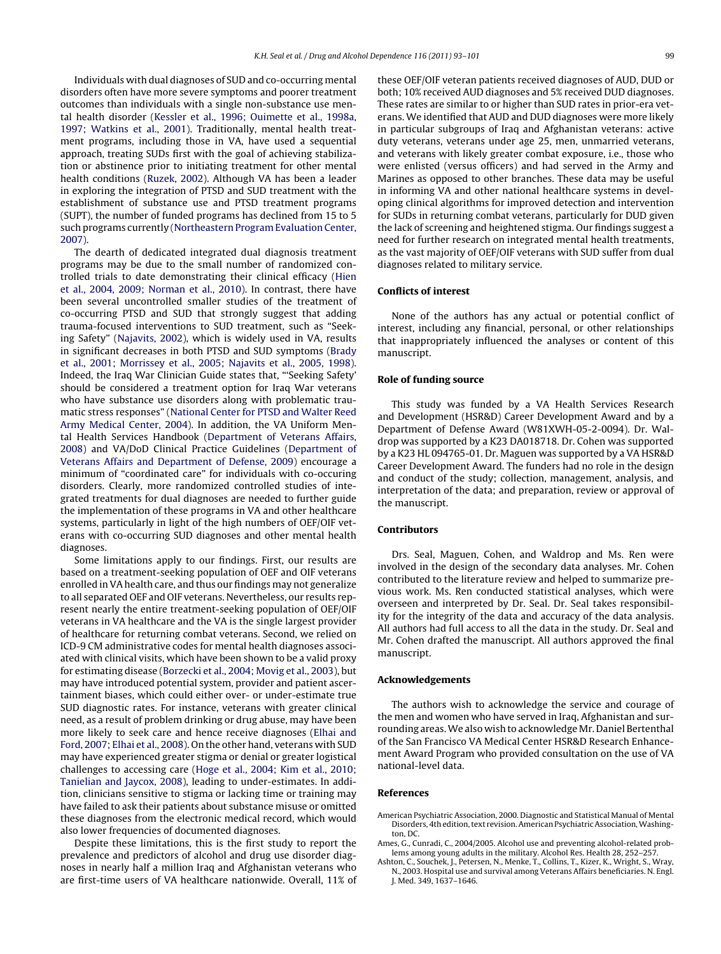<span id="page-8-0"></span>Individuals with dual diagnoses of SUD and co-occurring mental disorders often have more severe symptoms and poorer treatment outcomes than individuals with a single non-substance use mental health disorder [\(Kessler et al., 1996; Ouimette et al., 1998a,](#page-9-0) [1997; Watkins et al., 2001\).](#page-9-0) Traditionally, mental health treatment programs, including those in VA, have used a sequential approach, treating SUDs first with the goal of achieving stabilization or abstinence prior to initiating treatment for other mental health conditions ([Ruzek, 2002\).](#page-10-0) Although VA has been a leader in exploring the integration of PTSD and SUD treatment with the establishment of substance use and PTSD treatment programs (SUPT), the number of funded programs has declined from 15 to 5 such programs currently [\(Northeastern Program Evaluation Center,](#page-10-0) [2007\).](#page-10-0)

The dearth of dedicated integrated dual diagnosis treatment programs may be due to the small number of randomized controlled trials to date demonstrating their clinical efficacy [\(Hien](#page-9-0) [et al., 2004, 2009; Norman et al., 2010\).](#page-9-0) In contrast, there have been several uncontrolled smaller studies of the treatment of co-occurring PTSD and SUD that strongly suggest that adding trauma-focused interventions to SUD treatment, such as "Seeking Safety" [\(Najavits, 2002\),](#page-10-0) which is widely used in VA, results in significant decreases in both PTSD and SUD symptoms [\(Brady](#page-9-0) [et al., 2001; Morrissey et al., 2005; Najavits et al., 2005, 1998\).](#page-9-0) Indeed, the Iraq War Clinician Guide states that, "'Seeking Safety' should be considered a treatment option for Iraq War veterans who have substance use disorders along with problematic traumatic stress responses" [\(National Center for PTSD and Walter Reed](#page-10-0) [Army Medical Center, 2004\).](#page-10-0) In addition, the VA Uniform Mental Health Services Handbook ([Department of Veterans Affairs,](#page-9-0) [2008\)](#page-9-0) and VA/DoD Clinical Practice Guidelines ([Department of](#page-9-0) [Veterans Affairs and Department of Defense, 2009\)](#page-9-0) encourage a minimum of "coordinated care" for individuals with co-occuring disorders. Clearly, more randomized controlled studies of integrated treatments for dual diagnoses are needed to further guide the implementation of these programs in VA and other healthcare systems, particularly in light of the high numbers of OEF/OIF veterans with co-occurring SUD diagnoses and other mental health diagnoses.

Some limitations apply to our findings. First, our results are based on a treatment-seeking population of OEF and OIF veterans enrolled in VA health care, and thus our findings may not generalize to all separated OEF and OIF veterans. Nevertheless, our results represent nearly the entire treatment-seeking population of OEF/OIF veterans in VA healthcare and the VA is the single largest provider of healthcare for returning combat veterans. Second, we relied on ICD-9 CM administrative codes for mental health diagnoses associated with clinical visits, which have been shown to be a valid proxy for estimating disease ([Borzecki et al., 2004; Movig et al., 2003\),](#page-9-0) but may have introduced potential system, provider and patient ascertainment biases, which could either over- or under-estimate true SUD diagnostic rates. For instance, veterans with greater clinical need, as a result of problem drinking or drug abuse, may have been more likely to seek care and hence receive diagnoses ([Elhai and](#page-9-0) [Ford, 2007; Elhai et al., 2008\).](#page-9-0) On the other hand, veterans with SUD may have experienced greater stigma or denial or greater logistical challenges to accessing care ([Hoge et al., 2004; Kim et al., 2010;](#page-9-0) [Tanielian and Jaycox, 2008\),](#page-9-0) leading to under-estimates. In addition, clinicians sensitive to stigma or lacking time or training may have failed to ask their patients about substance misuse or omitted these diagnoses from the electronic medical record, which would also lower frequencies of documented diagnoses.

Despite these limitations, this is the first study to report the prevalence and predictors of alcohol and drug use disorder diagnoses in nearly half a million Iraq and Afghanistan veterans who are first-time users of VA healthcare nationwide. Overall, 11% of these OEF/OIF veteran patients received diagnoses of AUD, DUD or both; 10% received AUD diagnoses and 5% received DUD diagnoses. These rates are similar to or higher than SUD rates in prior-era veterans. We identified that AUD and DUD diagnoses were more likely in particular subgroups of Iraq and Afghanistan veterans: active duty veterans, veterans under age 25, men, unmarried veterans, and veterans with likely greater combat exposure, i.e., those who were enlisted (versus officers) and had served in the Army and Marines as opposed to other branches. These data may be useful in informing VA and other national healthcare systems in developing clinical algorithms for improved detection and intervention for SUDs in returning combat veterans, particularly for DUD given the lack of screening and heightened stigma. Our findings suggest a need for further research on integrated mental health treatments, as the vast majority of OEF/OIF veterans with SUD suffer from dual diagnoses related to military service.

#### **Conflicts of interest**

None of the authors has any actual or potential conflict of interest, including any financial, personal, or other relationships that inappropriately influenced the analyses or content of this manuscript.

### **Role of funding source**

This study was funded by a VA Health Services Research and Development (HSR&D) Career Development Award and by a Department of Defense Award (W81XWH-05-2-0094). Dr. Waldrop was supported by a K23 DA018718. Dr. Cohen was supported by a K23 HL 094765-01. Dr. Maguen was supported by a VA HSR&D Career Development Award. The funders had no role in the design and conduct of the study; collection, management, analysis, and interpretation of the data; and preparation, review or approval of the manuscript.

### **Contributors**

Drs. Seal, Maguen, Cohen, and Waldrop and Ms. Ren were involved in the design of the secondary data analyses. Mr. Cohen contributed to the literature review and helped to summarize previous work. Ms. Ren conducted statistical analyses, which were overseen and interpreted by Dr. Seal. Dr. Seal takes responsibility for the integrity of the data and accuracy of the data analysis. All authors had full access to all the data in the study. Dr. Seal and Mr. Cohen drafted the manuscript. All authors approved the final manuscript.

#### **Acknowledgements**

The authors wish to acknowledge the service and courage of the men and women who have served in Iraq, Afghanistan and surrounding areas.We also wish to acknowledge Mr. Daniel Bertenthal of the San Francisco VA Medical Center HSR&D Research Enhancement Award Program who provided consultation on the use of VA national-level data.

#### **References**

American Psychiatric Association, 2000. Diagnostic and Statistical Manual of Mental Disorders, 4th edition, text revision. American Psychiatric Association,Washington, DC.

- Ames, G., Cunradi, C., 2004/2005. Alcohol use and preventing alcohol-related problems among young adults in the military. Alcohol Res. Health 28, 252–257.
- Ashton, C., Souchek, J., Petersen, N., Menke, T., Collins, T., Kizer, K., Wright, S., Wray, N., 2003. Hospital use and survival among Veterans Affairs beneficiaries. N. Engl. J. Med. 349, 1637–1646.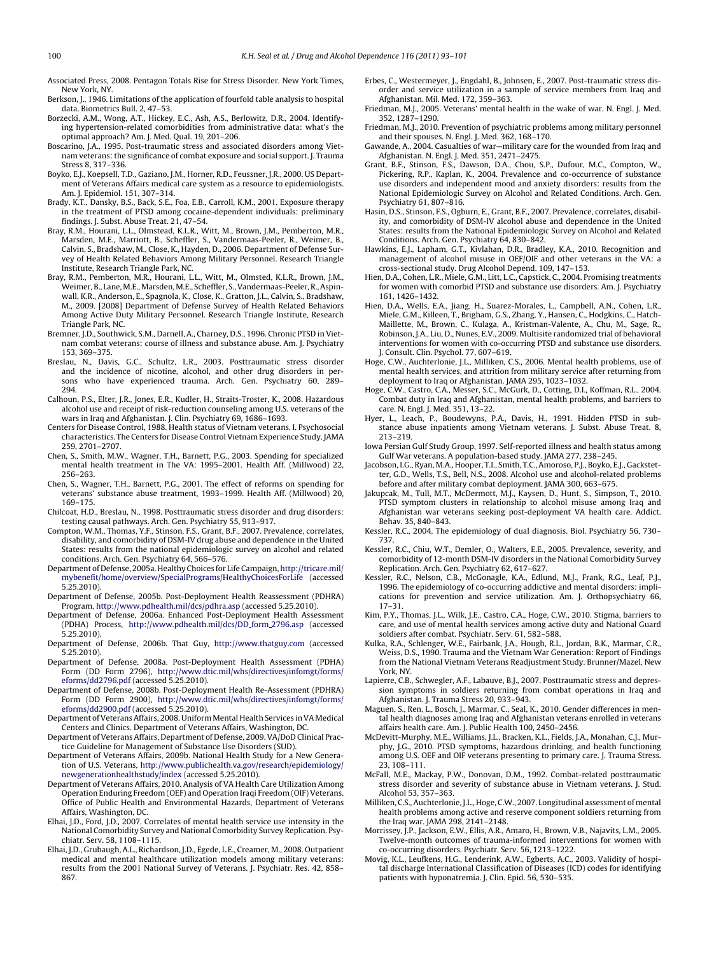<span id="page-9-0"></span>Associated Press, 2008. Pentagon Totals Rise for Stress Disorder. New York Times, New York, NY.

- Berkson, J., 1946. Limitations of the application of fourfold table analysis to hospital data. Biometrics Bull. 2, 47–53.
- Borzecki, A.M., Wong, A.T., Hickey, E.C., Ash, A.S., Berlowitz, D.R., 2004. Identifying hypertension-related comorbidities from administrative data: what's the optimal approach? Am. J. Med. Qual. 19, 201–206.
- Boscarino, J.A., 1995. Post-traumatic stress and associated disorders among Vietnam veterans: the significance of combat exposure and social support. J. Trauma Stress 8, 317–336.
- Boyko, E.J., Koepsell, T.D., Gaziano, J.M., Horner, R.D., Feussner, J.R., 2000. US Department of Veterans Affairs medical care system as a resource to epidemiologists. Am. J. Epidemiol. 151, 307–314.
- Brady, K.T., Dansky, B.S., Back, S.E., Foa, E.B., Carroll, K.M., 2001. Exposure therapy in the treatment of PTSD among cocaine-dependent individuals: preliminary findings. J. Subst. Abuse Treat. 21, 47–54.
- Bray, R.M., Hourani, L.L., Olmstead, K.L.R., Witt, M., Brown, J.M., Pemberton, M.R., Marsden, M.E., Marriott, B., Scheffler, S., Vandermaas-Peeler, R., Weimer, B., Calvin, S., Bradshaw, M., Close, K., Hayden, D., 2006. Department of Defense Survey of Health Related Behaviors Among Military Personnel. Research Triangle Institute, Research Triangle Park, NC.
- Bray, R.M., Pemberton, M.R., Hourani, L.L., Witt, M., Olmsted, K.L.R., Brown, J.M., Weimer, B., Lane,M.E.,Marsden,M.E., Scheffler, S., Vandermaas-Peeler, R., Aspinwall, K.R., Anderson, E., Spagnola, K., Close, K., Gratton, J.L., Calvin, S., Bradshaw, M., 2009. [2008] Department of Defense Survey of Health Related Behaviors Among Active Duty Military Personnel. Research Triangle Institute, Research Triangle Park, NC.
- Bremner, J.D., Southwick, S.M., Darnell, A., Charney, D.S., 1996. Chronic PTSD in Vietnam combat veterans: course of illness and substance abuse. Am. J. Psychiatry 153, 369–375.
- Breslau, N., Davis, G.C., Schultz, L.R., 2003. Posttraumatic stress disorder and the incidence of nicotine, alcohol, and other drug disorders in persons who have experienced trauma. Arch. Gen. Psychiatry 60, 289-294.
- Calhoun, P.S., Elter, J.R., Jones, E.R., Kudler, H., Straits-Troster, K., 2008. Hazardous alcohol use and receipt of risk-reduction counseling among U.S. veterans of the wars in Iraq and Afghanistan. J. Clin. Psychiatry 69, 1686–1693.
- Centers for Disease Control, 1988. Health status of Vietnam veterans. I. Psychosocial characteristics. The Centers for Disease Control Vietnam Experience Study. JAMA 259, 2701–2707.
- Chen, S., Smith, M.W., Wagner, T.H., Barnett, P.G., 2003. Spending for specialized mental health treatment in The VA: 1995–2001. Health Aff. (Millwood) 22, 256–263.
- Chen, S., Wagner, T.H., Barnett, P.G., 2001. The effect of reforms on spending for veterans' substance abuse treatment, 1993–1999. Health Aff. (Millwood) 20, 169–175.
- Chilcoat, H.D., Breslau, N., 1998. Posttraumatic stress disorder and drug disorders: testing causal pathways. Arch. Gen. Psychiatry 55, 913–917.
- Compton, W.M., Thomas, Y.F., Stinson, F.S., Grant, B.F., 2007. Prevalence, correlates, disability, and comorbidity of DSM-IV drug abuse and dependence in the United States: results from the national epidemiologic survey on alcohol and related conditions. Arch. Gen. Psychiatry 64, 566–576.
- Department of Defense, 2005a. Healthy Choices for Life Campaign, http://tricare.mil/ mybenefit/home/overview/SpecialPrograms/HealthyChoicesForLife (accessed 5.25.2010).
- Department of Defense, 2005b. Post-Deployment Health Reassessment (PDHRA) Program, <http://www.pdhealth.mil/dcs/pdhra.asp> (accessed 5.25.2010).
- Department of Defense, 2006a. Enhanced Post-Deployment Health Assessment (PDHA) Process, [http://www.pdhealth.mil/dcs/DD](http://www.pdhealth.mil/dcs/DD_form_2796.asp)\_form\_2796.asp (accessed 5.25.2010).
- Department of Defense, 2006b. That Guy, [http://www.thatguy.com](http://www.thatguy.com/) (accessed 5.25.2010).
- Department of Defense, 2008a. Post-Deployment Health Assessment (PDHA) Form (DD Form 2796), [http://www.dtic.mil/whs/directives/infomgt/forms/](http://www.dtic.mil/whs/directives/infomgt/forms/eforms/dd2796.pdf) eforms/dd2796.pdf (accessed 5.25.2010).
- Department of Defense, 2008b. Post-Deployment Health Re-Assessment (PDHRA) Form (DD Form 2900), [http://www.dtic.mil/whs/directives/infomgt/forms/](http://www.dtic.mil/whs/directives/infomgt/forms/eforms/dd2900.pdf) eforms/dd2900.pdf (accessed 5.25.2010).
- Department of Veterans Affairs, 2008. Uniform Mental Health Services in VA Medical Centers and Clinics. Department of Veterans Affairs, Washington, DC.
- Department of Veterans Affairs, Department of Defense, 2009. VA/DoD Clinical Practice Guideline for Management of Substance Use Disorders (SUD).
- Department of Veterans Affairs, 2009b. National Health Study for a New Generation of U.S. Veterans, [http://www.publichealth.va.gov/research/epidemiology/](http://www.publichealth.va.gov/research/epidemiology/newgenerationhealthstudy/index) newgenerationhealthstudy/index (accessed 5.25.2010).
- Department of Veterans Affairs, 2010. Analysis of VA Health Care Utilization Among Operation Enduring Freedom (OEF) and Operation Iraqi Freedom (OIF) Veterans. Office of Public Health and Environmental Hazards, Department of Veterans Affairs, Washington, DC.
- Elhai, J.D., Ford, J.D., 2007. Correlates of mental health service use intensity in the National Comorbidity Survey and National Comorbidity Survey Replication. Psychiatr. Serv. 58, 1108–1115.
- Elhai, J.D., Grubaugh, A.L., Richardson, J.D., Egede, L.E., Creamer, M., 2008. Outpatient medical and mental healthcare utilization models among military veterans: results from the 2001 National Survey of Veterans. J. Psychiatr. Res. 42, 858– 867.
- Erbes, C., Westermeyer, J., Engdahl, B., Johnsen, E., 2007. Post-traumatic stress disorder and service utilization in a sample of service members from Iraq and Afghanistan. Mil. Med. 172, 359–363.
- Friedman, M.J., 2005. Veterans' mental health in the wake of war. N. Engl. J. Med. 352, 1287–1290.
- Friedman, M.J., 2010. Prevention of psychiatric problems among military personnel and their spouses. N. Engl. J. Med. 362, 168–170.
- Gawande, A., 2004. Casualties of war—military care for the wounded from Iraq and Afghanistan. N. Engl. J. Med. 351, 2471–2475.
- Grant, B.F., Stinson, F.S., Dawson, D.A., Chou, S.P., Dufour, M.C., Compton, W., Pickering, R.P., Kaplan, K., 2004. Prevalence and co-occurrence of substance use disorders and independent mood and anxiety disorders: results from the National Epidemiologic Survey on Alcohol and Related Conditions. Arch. Gen. Psychiatry 61, 807–816.
- Hasin, D.S., Stinson, F.S., Ogburn, E., Grant, B.F., 2007. Prevalence, correlates, disability, and comorbidity of DSM-IV alcohol abuse and dependence in the United States: results from the National Epidemiologic Survey on Alcohol and Related Conditions. Arch. Gen. Psychiatry 64, 830–842.
- Hawkins, E.J., Lapham, G.T., Kivlahan, D.R., Bradley, K.A., 2010. Recognition and management of alcohol misuse in OEF/OIF and other veterans in the VA: a cross-sectional study. Drug Alcohol Depend. 109, 147–153.
- Hien, D.A., Cohen, L.R., Miele, G.M., Litt, L.C., Capstick, C., 2004. Promising treatments for women with comorbid PTSD and substance use disorders. Am. J. Psychiatry 161, 1426–1432.
- Hien, D.A., Wells, E.A., Jiang, H., Suarez-Morales, L., Campbell, A.N., Cohen, L.R., Miele, G.M., Killeen, T., Brigham, G.S., Zhang, Y., Hansen, C., Hodgkins, C., Hatch-Maillette, M., Brown, C., Kulaga, A., Kristman-Valente, A., Chu, M., Sage, R., Robinson, J.A., Liu, D., Nunes, E.V., 2009. Multisite randomized trial of behavioral interventions for women with co-occurring PTSD and substance use disorders. J. Consult. Clin. Psychol. 77, 607–619.
- Hoge, C.W., Auchterlonie, J.L., Milliken, C.S., 2006. Mental health problems, use of mental health services, and attrition from military service after returning from deployment to Iraq or Afghanistan. JAMA 295, 1023–1032.
- Hoge, C.W., Castro, C.A., Messer, S.C., McGurk, D., Cotting, D.I., Koffman, R.L., 2004. Combat duty in Iraq and Afghanistan, mental health problems, and barriers to care. N. Engl. J. Med. 351, 13–22.
- Hyer, L., Leach, P., Boudewyns, P.A., Davis, H., 1991. Hidden PTSD in substance abuse inpatients among Vietnam veterans. J. Subst. Abuse Treat. 8, 213–219.
- Iowa Persian Gulf Study Group, 1997. Self-reported illness and health status among Gulf War veterans. A population-based study. JAMA 277, 238–245.
- Jacobson, I.G., Ryan, M.A., Hooper, T.I., Smith, T.C., Amoroso, P.J., Boyko, E.J., Gackstetter, G.D., Wells, T.S., Bell, N.S., 2008. Alcohol use and alcohol-related problems before and after military combat deployment. JAMA 300, 663–675.
- Jakupcak, M., Tull, M.T., McDermott, M.J., Kaysen, D., Hunt, S., Simpson, T., 2010. PTSD symptom clusters in relationship to alcohol misuse among Iraq and Afghanistan war veterans seeking post-deployment VA health care. Addict. Behav. 35, 840–843.
- Kessler, R.C., 2004. The epidemiology of dual diagnosis. Biol. Psychiatry 56, 730– 737.
- Kessler, R.C., Chiu, W.T., Demler, O., Walters, E.E., 2005. Prevalence, severity, and comorbidity of 12-month DSM-IV disorders in the National Comorbidity Survey [Replication. Arch. Gen. Psychiatry 62, 617–627.](http://tricare.mil/mybenefit/home/overview/SpecialPrograms/HealthyChoicesForLife)
- Kessler, R.C., Nelson, C.B., McGonagle, K.A., Edlund, M.J., Frank, R.G., Leaf, P.J., 1996. The epidemiology of co-occurring addictive and mental disorders: implications for prevention and service utilization. Am. J. Orthopsychiatry 66, 17–31.
- Kim, P.Y., Thomas, J.L., Wilk, J.E., Castro, C.A., Hoge, C.W., 2010. Stigma, barriers to care, and use of mental health services among active duty and National Guard soldiers after combat. Psychiatr. Serv. 61, 582–588.
- Kulka, R.A., Schlenger, W.E., Fairbank, J.A., Hough, R.L., Jordan, B.K., Marmar, C.R., Weiss, D.S., 1990. Trauma and the Vietnam War Generation: Report of Findings from the National Vietnam Veterans Readjustment Study. Brunner/Mazel, New York, NY.
- Lapierre, C.B., Schwegler, A.F., Labauve, B.J., 2007. Posttraumatic stress and depression symptoms in soldiers returning from combat operations in Iraq and Afghanistan. J. Trauma Stress 20, 933–943.
- Maguen, S., Ren, L., Bosch, J., Marmar, C., Seal, K., 2010. Gender differences in mental health diagnoses among Iraq and Afghanistan veterans enrolled in veterans affairs health care. Am. J. Public Health 100, 2450–2456.
- McDevitt-Murphy, M.E., Williams, J.L., Bracken, K.L., Fields, J.A., Monahan, C.J., Murphy, J.G., 2010. PTSD symptoms, hazardous drinking, and health functioning among U.S. OEF and OIF veterans presenting to primary care. J. Trauma Stress. 23, 108–111.
- McFall, M.E., Mackay, P.W., Donovan, D.M., 1992. Combat-related posttraumatic stress disorder and severity of substance abuse in Vietnam veterans. J. Stud. Alcohol 53, 357–363.
- Milliken, C.S., Auchterlonie, J.L., Hoge, C.W., 2007. Longitudinal assessment of mental health problems among active and reserve component soldiers returning from the Iraq war. JAMA 298, 2141–2148.
- Morrissey, J.P., Jackson, E.W., Ellis, A.R., Amaro, H., Brown, V.B., Najavits, L.M., 2005. Twelve-month outcomes of trauma-informed interventions for women with co-occurring disorders. Psychiatr. Serv. 56, 1213–1222.
- Movig, K.L., Leufkens, H.G., Lenderink, A.W., Egberts, A.C., 2003. Validity of hospital discharge International Classification of Diseases (ICD) codes for identifying patients with hyponatremia. J. Clin. Epid. 56, 530–535.